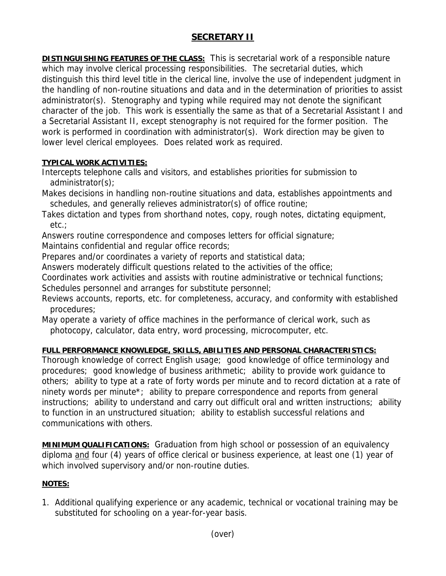## **SECRETARY II**

**DISTINGUISHING FEATURES OF THE CLASS:** This is secretarial work of a responsible nature which may involve clerical processing responsibilities. The secretarial duties, which distinguish this third level title in the clerical line, involve the use of independent judgment in the handling of non-routine situations and data and in the determination of priorities to assist administrator(s). Stenography and typing while required may not denote the significant character of the job. This work is essentially the same as that of a Secretarial Assistant I and a Secretarial Assistant II, except stenography is not required for the former position. The work is performed in coordination with administrator(s). Work direction may be given to lower level clerical employees. Does related work as required.

## **TYPICAL WORK ACTIVITIES:**

Intercepts telephone calls and visitors, and establishes priorities for submission to administrator(s);

Makes decisions in handling non-routine situations and data, establishes appointments and schedules, and generally relieves administrator(s) of office routine;

Takes dictation and types from shorthand notes, copy, rough notes, dictating equipment, etc.;

Answers routine correspondence and composes letters for official signature;

Maintains confidential and regular office records;

Prepares and/or coordinates a variety of reports and statistical data;

Answers moderately difficult questions related to the activities of the office;

Coordinates work activities and assists with routine administrative or technical functions; Schedules personnel and arranges for substitute personnel;

Reviews accounts, reports, etc. for completeness, accuracy, and conformity with established procedures;

May operate a variety of office machines in the performance of clerical work, such as photocopy, calculator, data entry, word processing, microcomputer, etc.

## **FULL PERFORMANCE KNOWLEDGE, SKILLS, ABILITIES AND PERSONAL CHARACTERISTICS:**

Thorough knowledge of correct English usage; good knowledge of office terminology and procedures; good knowledge of business arithmetic; ability to provide work guidance to others; ability to type at a rate of forty words per minute and to record dictation at a rate of ninety words per minute\*; ability to prepare correspondence and reports from general instructions; ability to understand and carry out difficult oral and written instructions; ability to function in an unstructured situation; ability to establish successful relations and communications with others.

**MINIMUM QUALIFICATIONS:** Graduation from high school or possession of an equivalency diploma and four (4) years of office clerical or business experience, at least one (1) year of which involved supervisory and/or non-routine duties.

## **NOTES:**

1. Additional qualifying experience or any academic, technical or vocational training may be substituted for schooling on a year-for-year basis.